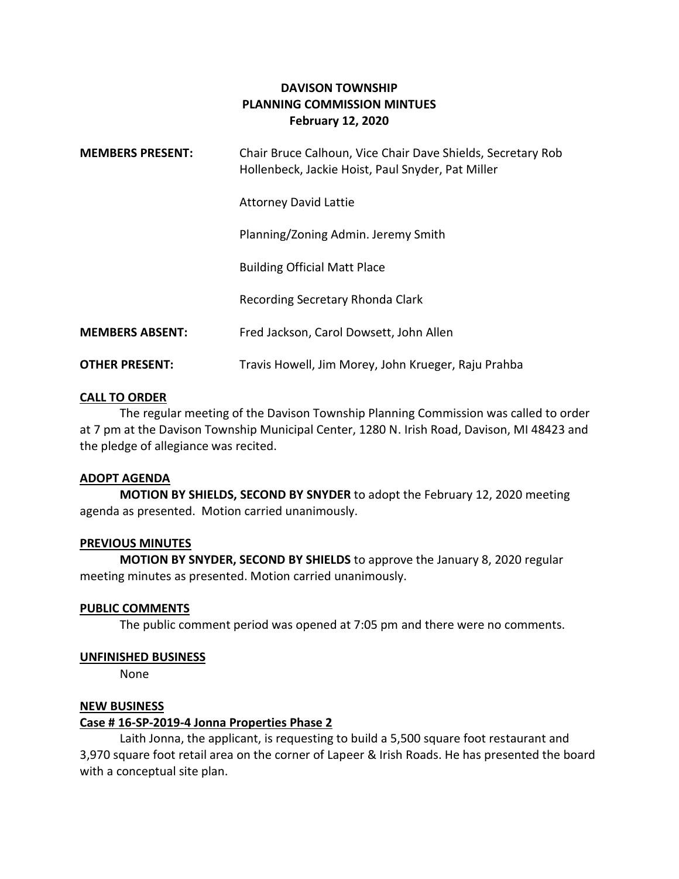# **DAVISON TOWNSHIP PLANNING COMMISSION MINTUES February 12, 2020**

| <b>MEMBERS PRESENT:</b> | Chair Bruce Calhoun, Vice Chair Dave Shields, Secretary Rob<br>Hollenbeck, Jackie Hoist, Paul Snyder, Pat Miller |
|-------------------------|------------------------------------------------------------------------------------------------------------------|
|                         | <b>Attorney David Lattie</b>                                                                                     |
|                         | Planning/Zoning Admin. Jeremy Smith                                                                              |
|                         | <b>Building Official Matt Place</b>                                                                              |
|                         | Recording Secretary Rhonda Clark                                                                                 |
| <b>MEMBERS ABSENT:</b>  | Fred Jackson, Carol Dowsett, John Allen                                                                          |
| <b>OTHER PRESENT:</b>   | Travis Howell, Jim Morey, John Krueger, Raju Prahba                                                              |

## **CALL TO ORDER**

The regular meeting of the Davison Township Planning Commission was called to order at 7 pm at the Davison Township Municipal Center, 1280 N. Irish Road, Davison, MI 48423 and the pledge of allegiance was recited.

#### **ADOPT AGENDA**

**MOTION BY SHIELDS, SECOND BY SNYDER** to adopt the February 12, 2020 meeting agenda as presented. Motion carried unanimously.

#### **PREVIOUS MINUTES**

**MOTION BY SNYDER, SECOND BY SHIELDS** to approve the January 8, 2020 regular meeting minutes as presented. Motion carried unanimously.

#### **PUBLIC COMMENTS**

The public comment period was opened at 7:05 pm and there were no comments.

#### **UNFINISHED BUSINESS**

None

#### **NEW BUSINESS**

#### **Case # 16-SP-2019-4 Jonna Properties Phase 2**

Laith Jonna, the applicant, is requesting to build a 5,500 square foot restaurant and 3,970 square foot retail area on the corner of Lapeer & Irish Roads. He has presented the board with a conceptual site plan.